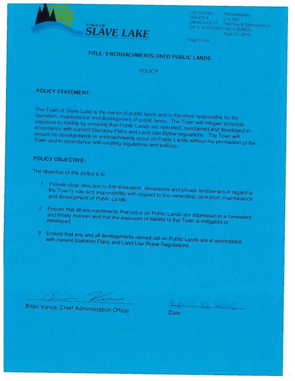



CATEGORY: Administrative<br>POUCY #: Ca. 025<br>OWNER DEPT; Planning & Development<br>DATE APPROVED BY COUNCIL: April 12, 2016

Page 1 of 8

# TITLE: ENCROACHMENTS ONTO PUBLIC LANDS

POLICY

# POLICY STATEMENT:

The Town of Slave Lake is the owner of public lands and is therefore responsible for the operation, maintenance and development of public lands. The Town will mitigate potential exposure to liability by ensuring that Publi

## POLICY OBJECTIVE:

The objective of this policy is to:

- 1. Provide clear direction to Administration, developers and private landowners in regard to the Town's role and responsibility with respect to the ownership, operation, maintenance
- 2. Ensure that all encroachments that occur on Public Lands are addressed in a consistent and timely manner and that the exposure of liability to the Town is mitigated or minimized.
- 3. Ensure that any and all developments carried out on Public Lands are in accordance with current Statutory Plans and Land Use Bylaw Regulations.

Brian Vance, Chief Administration Officer Date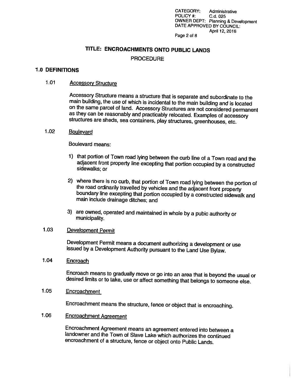CATEGORY: Administrative POLICY #: C.d. 025 OWNER DEPT: Planning & Development DATE APPROVED BY COUNCIL: April 12, 2016

#### Page 2 of 8

### TITLE: ENCROACHMENTS ONTO PUBLIC LANDS

#### PROCEDURE

#### 1.0 DEFINITIONS

#### 1.01 Accessory Structure

Accessory Structure means <sup>a</sup> structure that is separate and subordinate to the main building, the use ot which is incidental to the main building and is located on the same parcel of land. Accessory Structures are not considered permanent as they can be reasonably and practicably relocated. Examples of accessory structures are sheds, sea containers, play structures, greenhouses, etc.

#### 1.02 Boulevard

Boulevard means:

- 1) that portion of Town road lying between the curb line of a Town road and the adjacent front property line excepting that portion occupied by a constructed sidewalks; or
- 2) where there is no curb, that portion of Town road lying between the portion of the road ordinarily travelled by vehicles and the adjacent front property boundary line excepting that portion occupied by a constructed sid
- 3) are owned, operated and maintained in whole by <sup>a</sup> pubic authority or municipality.

### 1.03 Development Permit

Development Permit means <sup>a</sup> document authorizing <sup>a</sup> development or use issued by <sup>a</sup> Development Authority pursuant to the Land Use Bylaw.

1.04 Encroach

Encroach means to gradually move or go into an area that is beyond the usual or desired limits or to take, use or affect something that belongs to someone else.

#### 1.05 Encroachment

Encroachment means the structure, fence or object that is encroaching.

1.06 Encroachment Agreement

Encroachment Agreement means an agreement entered into between <sup>a</sup> landowner and the Town of Slave Lake which authorizes the continued encroachment of <sup>a</sup> structure, fence or object onto Public Lands.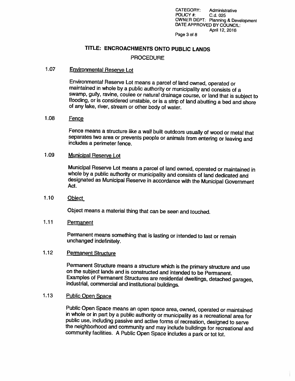CATEGORY: Administrative POLICY #: C.d. 025 OWNER DEPT: Planning & Development DATE APPROVED BY COUNCIL: April 12, 2016

#### Page 3 of 8

### TITLE: ENCROACHMENTS ONTO PUBLIC LANDS

#### **PROCEDURE**

#### 1.07 Environmental Reserve Lot

Environmental Reserve Lot means <sup>a</sup> parcel of land owned, operated or maintained in whole by <sup>a</sup> public authority or municipality and consists of <sup>a</sup> flooding, or is considered unstable, or is a strip of land abutting a bed and shore of any lake, river, stream or other body of water.

#### 1.08 Fence

Fence means <sup>a</sup> structure like <sup>a</sup> wall built outdoors usually of wood or metal that separates two area or prevents people or animals from entering or leaving and includes <sup>a</sup> perimeter fence.

#### 1.09 Municipal Reserve Lot

Municipal Reserve Lot means a parcel of land owned, operated or maintained in whole by a public authority or municipality and consists of land dedicated and designated as Municipal Reserve in accordance with the Municipal

1.10 Object

Object means <sup>a</sup> material thing that can be seen and touched.

#### 1.11 Permanent

Permanent means something that is lasting or intended to last or remain unchanged indefinitely.

#### 1.12 Permanent Structure

Permanent Structure means <sup>a</sup> structure which is the primary structure and use on the subject lands and is constructed and intended to be Permanent. Examples of Permanent Structures are residential dwellings, detached garages, industrial, commercial and institutional buildings.

#### 1.13 Public Open Space

Public Open Space means an open space area, owned, operated or maintained<br>in whole or in part by a public authority or municipality as a recreational area for<br>public use, including passive and active forms of recreation, d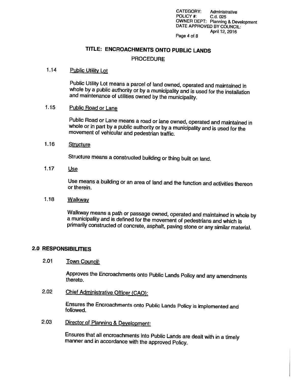CATEGORY: Administrative POLICY #: C.d. 025 OWNER DEPT: Planning & Development DATE APPROVED BY COUNCIL: April 12, 2016

#### Page 4 of 8

### TITLE: ENCROACHMENTS ONTO PUBLIC LANDS

#### **PROCEDURE**

#### 1.14 Public Utility Lot

Public Utility Lot means <sup>a</sup> parcel of land owned, operated and maintained in whole by <sup>a</sup> public authority or by <sup>a</sup> municipality and is used for the installation and maintenance of uffluties owned by the municipality.

#### 1.15 Public Road or Lane

Public Road or Lane means <sup>a</sup> road or lane owned, operated and maintained in whole or in part by <sup>a</sup> public authority or by <sup>a</sup> municipality and is used for the movement of vehicular and pedestrian traffic.

#### 1.16 Structure

Structure means <sup>a</sup> constructed building or thing built on land.

#### 1.17 Use

Use means <sup>a</sup> building or an area of land and the function and activities thereon or therein.

#### 1.18 Walkway

Walkway means a path or passage owned, operated and maintained in whole by<br>a municipality and is defined for the movement of pedestrians and which is<br>primarily constructed of concrete, asphalt, paving stone or any similar

#### 2.0 RESPONSIBILITIES

### 2.01 Town Council:

Approves the Encroachments onto Public Lands Policy and any amendments thereto.

2.02 Chief Administrative Officer (CAO):

Ensures the Encroachments onto Public Lands Policy is implemented and followed.

2.03 Director of Planning & Development:

Ensures that all encroachments into Public Lands are dealt with in <sup>a</sup> timely manner and in accordance with the approved Policy.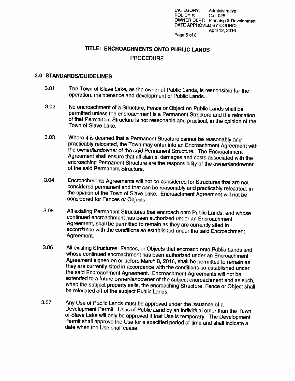CATEGORY: Administrative POLICY #: C.d. 025 OWNER DEPT: Planning & Development DATE APPROVED BY COUNCIL: April 12, 2016

#### Page 5 of 8

#### TITLE: ENCROACHMENTS ONTO PUBLIC LANDS

#### **PROCEDURE**

### 3.0 STANDARDS/GUIDELINES

- 3.01 The Town of Slave Lake, as the owner of Public Lands, is responsible for the operation, maintenance and development of Public Lands.
- 3.02 No encroachment of <sup>a</sup> Structure, Fence or Object on Public Lands shall be permitted unless the encroachment is of that Permanent Structure is not reasonable and practical, in the opinion of the Town of Slave Lake.
- 3.03 Where it is deemed that a Permanent Structure cannot be reasonably and practicably relocated, the Town may enter into an Encroachment Agreement with<br>the owner/landowner of the said Permanent Structure. The Encroachment<br>Agreement shall ensure that all claims, damages and costs associated with encroaching Permanent Structure are the responsibility of the owner/landowner of the said Permanent Structure.
- 3.04 Encroachments Agreements will not be considered for Structures that are not the opinion of the Town of Slave Lake. Encroachment Agreement will not be considered for Fences or Objects.
- 3.05 All existing Permanent Structures that encroach onto Public Lands, and whose continued encroachment has been authorized under an Encroachment accordance with the conditions so established under the said Encroachment<br>Agreement.
- 3.06 All existing Structures, Fences, or Objects that encroach onto Public Lands and<br>whose continued encroachment has been authorized under an Encroachment<br>Agreement signed on or before March 8, 2016, shall be permitted to when the subject property sells, the encroaching Structure, Fence or Object shall be relocated off of the subject Public Lands.
- 3.07 Any Use of Public Lands must be approved under the issuance of a Development Permit. Uses of Public Land by an individual other than the Town of Slave Lake will only be approved if that Use is temporary. The Development Permit shall approve the Use for a specified period of time and shall indicate a<br>date when the Use shall cease.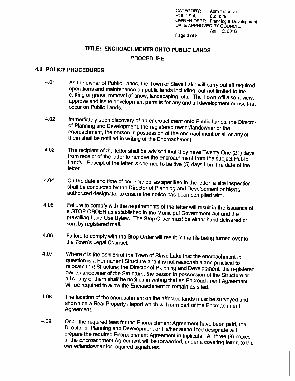CATEGORY: Administrative<br>POLICY #: C d 025 POLICY #: Cd. 025 OWNER DEPT: Planning & Development<br>DATE APPHOVED BY COUNCIL: April 12, 2016

Page 6 of 8

# TITLE: ENCROACHMENTS ONTO PUBLIC LANDS

#### **PROCEDURE**

#### 4.0 POLICY PROCEDURES

- 4.01 As the owner of Public Lands, the Town of Slave Lake will carry out all required operations and maintenance on public lands including, but not limited to the cutting of grass, removal of snow, landscaping, etc. The To
- 4.02 Immediately upon discovery of an encroachment onto Public Lands, the Director<br>of Planning and Development, the registered owner/landowner of the<br>encroachment, the person in possession of the encroachment or all or any
- 4.03 The recipient of the letter shall be advised that they have Twenty One (21) days<br>from receipt of the letter to remove the encroachment from the subject Public<br>Lands. Receipt of the letter is deemed to be five (5) days
- 4.04 On the date and time of compliance, as specified in the letter, a site inspection shall be conducted by the Director of Planning and Development or his/her authorized designate, to ensure the notice has been complied with.
- 4.05 Failure to comply with the requirements of the letter will result in the issuance of a STOP ORDER as established in the Municipal Government Act and the prevailing Land Use Bylaw. The Stop Order must be either hand delivered or sent by registered mail.
- 4.06 Failure to comply with the Stop Order will result in the file being turned over to the Town's Legal Counsel.
- 4.07 Where it is the opinion of the Town of Slave Lake that the encroachment in question is a Permanent Structure and it is not reasonable and practical to relocate that Structure; the Director of Planning and Development, the registered owner/landowner of the Structure, the person in possession of the Structure or all or any of them shall be notified in writing that an Encro
- 4.08 The location of the encroachment on the affected lands must be surveyed and shown on a Real Property Report which will form part of the Encroachment<br>Agreement.
- 4.09 Once the required fees for the Encroachment Agreement have been paid, the Director of Planning and Development or his/her authorized designate will prepare the required Encroachment Agreement in triplicate. All three of the Encroachment Agreement will be forwarded, under a covering letter, to the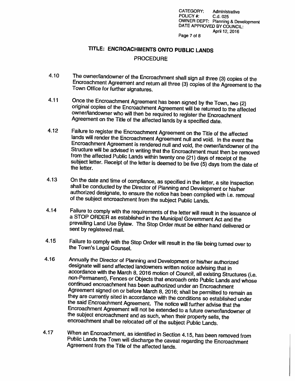CATEGORY: Administrative POLICY #: C.d. 025 OWNER DEPT: Planning & Development DATE APPROVED BY COUNCIL: April 12, 2016

Page 7 of 8

# TITLE: ENCROACHMENTS ONTO PUBLIC LANDS

#### **PROCEDURE**

- 4.10 The owner/landowner of the Encroachment shall sign all three (3) copies of the Encroachment Agreement and return all three (3) Copies of the Agreement to the Town Office for further signatures.
- 4.11 Once the Encroachment Agreement has been signed by the Town, two (2) original copies of the Encroachment Agreement will be returned to the affected owner/landowner who will then be required to register the Encroachmen Agreement on the Title of the affected lands by  $\tilde{a}$  specified date.
- 4.12 Failure to register the Encroachment Agreement on the Title of the affected<br>lands will render the Encroachment Agreement null and void. In the event the<br>Encroachment Agreement is rendered null and void, the owner/land
- 4.13 On the date and time of compliance, as specified in the letter, a site inspection shall be conducted by the Director of Planning and Development or his/her authorized designate, to ensure the notice has been complied with i.e. removal<br>of the subject encroachment from the subject Public Lands.
- 4.14 Failure to comply with the requirements of the letter will result in the issuance of a STOP ORDER as established in the Municipal Government Act and the prevailing Land Use Bylaw. The Stop Order must be either hand delivered or sent by registered mail.
- 4.15 Failure to comply with the Stop Order will result in the file being turned over to the Town's Legal Counsel.
- 4.16 Annually the Director of Planning and Development or his/her authorized<br>designate will send affected landowners written notice advising that in<br>accordance with the March 8, 2016 motion of Council, all existing Structu
- 4.17 When an Encroachment, as identified in Section 4.15, has been removed from Public Lands the Town will discharge the caveat regarding the Encroachment Agreement from the Title of the affected lands.